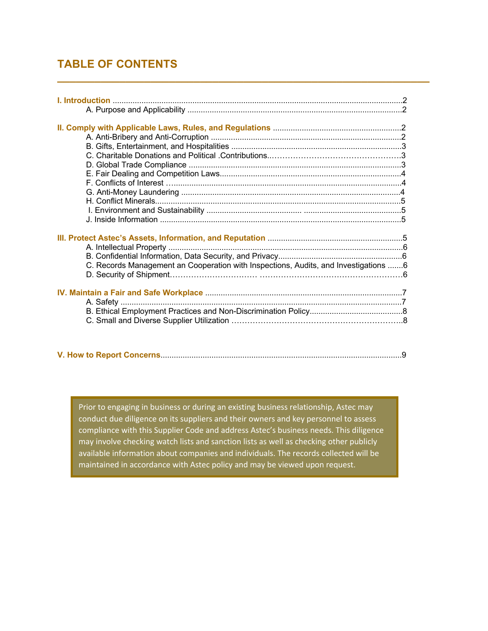## **TABLE OF CONTENTS**

| C. Records Management an Cooperation with Inspections, Audits, and Investigations 6 |  |
|-------------------------------------------------------------------------------------|--|
|                                                                                     |  |
|                                                                                     |  |
|                                                                                     |  |
|                                                                                     |  |
|                                                                                     |  |
|                                                                                     |  |
|                                                                                     |  |

**\_\_\_\_\_\_\_\_\_\_\_\_\_\_\_\_\_\_\_\_\_\_\_\_\_\_\_\_\_\_\_\_\_\_\_\_\_\_\_\_\_\_\_\_\_\_\_\_\_\_\_\_\_\_\_\_\_\_\_\_**

|--|--|

Prior to engaging in business or during an existing business relationship, Astec may conduct due diligence on its suppliers and their owners and key personnel to assess compliance with this Supplier Code and address Astec's business needs. This diligence may involve checking watch lists and sanction lists as well as checking other publicly available information about companies and individuals. The records collected will be maintained in accordance with Astec policy and may be viewed upon request.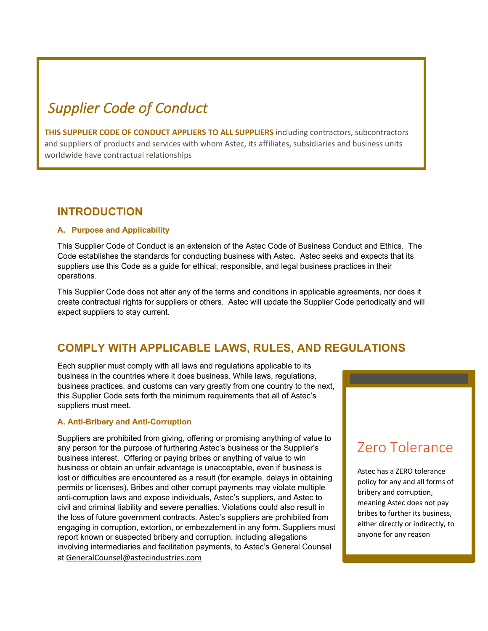# *Supplier Code of Conduct*

**THIS SUPPLIER CODE OF CONDUCT APPLIERS TO ALL SUPPLIERS** including contractors, subcontractors and suppliers of products and services with whom Astec, its affiliates, subsidiaries and business units worldwide have contractual relationships

### **INTRODUCTION**

#### **A. Purpose and Applicability**

This Supplier Code of Conduct is an extension of the Astec Code of Business Conduct and Ethics. The Code establishes the standards for conducting business with Astec. Astec seeks and expects that its suppliers use this Code as a guide for ethical, responsible, and legal business practices in their operations.

This Supplier Code does not alter any of the terms and conditions in applicable agreements, nor does it create contractual rights for suppliers or others. Astec will update the Supplier Code periodically and will expect suppliers to stay current.

## **COMPLY WITH APPLICABLE LAWS, RULES, AND REGULATIONS**

Each supplier must comply with all laws and regulations applicable to its business in the countries where it does business. While laws, regulations, business practices, and customs can vary greatly from one country to the next, this Supplier Code sets forth the minimum requirements that all of Astec's suppliers must meet.

#### **A. Anti-Bribery and Anti-Corruption**

Suppliers are prohibited from giving, offering or promising anything of value to any person for the purpose of furthering Astec's business or the Supplier's business interest. Offering or paying bribes or anything of value to win business or obtain an unfair advantage is unacceptable, even if business is lost or difficulties are encountered as a result (for example, delays in obtaining permits or licenses). Bribes and other corrupt payments may violate multiple anti-corruption laws and expose individuals, Astec's suppliers, and Astec to civil and criminal liability and severe penalties. Violations could also result in the loss of future government contracts. Astec's suppliers are prohibited from engaging in corruption, extortion, or embezzlement in any form. Suppliers must report known or suspected bribery and corruption, including allegations involving intermediaries and facilitation payments, to Astec's General Counsel at GeneralCounsel@astecindustries.com

## Zero Tolerance

Astec has a ZERO tolerance policy for any and all forms of bribery and corruption, meaning Astec does not pay bribes to further its business, either directly or indirectly, to anyone for any reason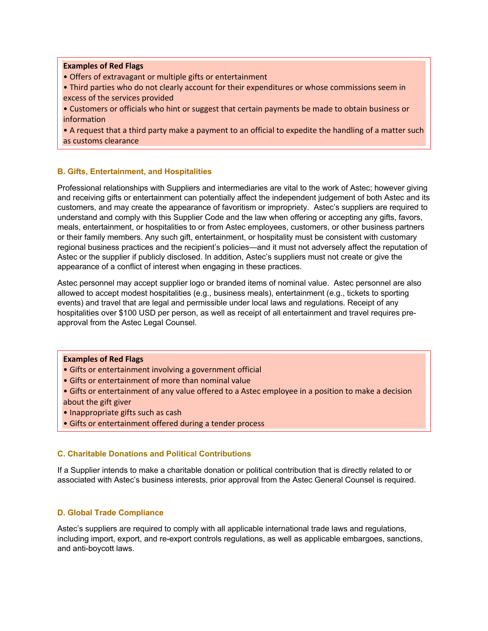#### **Examples of Red Flags**

• Offers of extravagant or multiple gifts or entertainment

• Third parties who do not clearly account for their expenditures or whose commissions seem in excess of the services provided

• Customers or officials who hint or suggest that certain payments be made to obtain business or information

• A request that a third party make a payment to an official to expedite the handling of a matter such as customs clearance

#### **B. Gifts, Entertainment, and Hospitalities**

Professional relationships with Suppliers and intermediaries are vital to the work of Astec; however giving and receiving gifts or entertainment can potentially affect the independent judgement of both Astec and its customers, and may create the appearance of favoritism or impropriety. Astec's suppliers are required to understand and comply with this Supplier Code and the law when offering or accepting any gifts, favors, meals, entertainment, or hospitalities to or from Astec employees, customers, or other business partners or their family members. Any such gift, entertainment, or hospitality must be consistent with customary regional business practices and the recipient's policies—and it must not adversely affect the reputation of Astec or the supplier if publicly disclosed. In addition, Astec's suppliers must not create or give the appearance of a conflict of interest when engaging in these practices.

Astec personnel may accept supplier logo or branded items of nominal value. Astec personnel are also allowed to accept modest hospitalities (e.g., business meals), entertainment (e.g., tickets to sporting events) and travel that are legal and permissible under local laws and regulations. Receipt of any hospitalities over \$100 USD per person, as well as receipt of all entertainment and travel requires preapproval from the Astec Legal Counsel.

#### **Examples of Red Flags**

- Gifts or entertainment involving a government official
- Gifts or entertainment of more than nominal value
- Gifts or entertainment of any value offered to a Astec employee in a position to make a decision about the gift giver
- Inappropriate gifts such as cash
- Gifts or entertainment offered during a tender process

#### **C. Charitable Donations and Political Contributions**

If a Supplier intends to make a charitable donation or political contribution that is directly related to or associated with Astec's business interests, prior approval from the Astec General Counsel is required.

#### **D. Global Trade Compliance**

Astec's suppliers are required to comply with all applicable international trade laws and regulations, including import, export, and re-export controls regulations, as well as applicable embargoes, sanctions, and anti-boycott laws.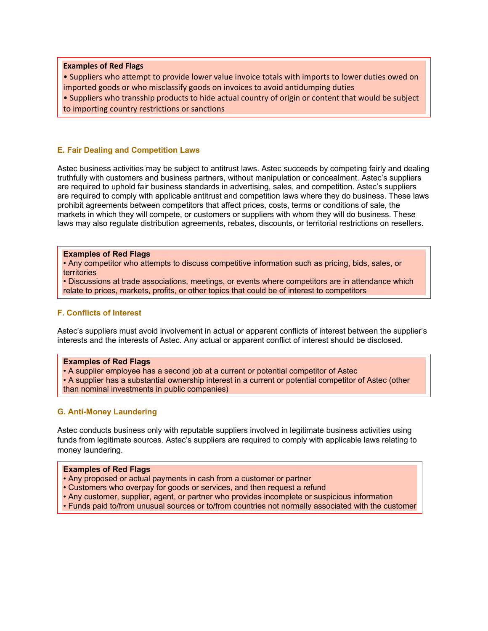**Examples of Red Flags** 

• Suppliers who attempt to provide lower value invoice totals with imports to lower duties owed on imported goods or who misclassify goods on invoices to avoid antidumping duties

• Suppliers who transship products to hide actual country of origin or content that would be subject to importing country restrictions or sanctions

#### **E. Fair Dealing and Competition Laws**

Astec business activities may be subject to antitrust laws. Astec succeeds by competing fairly and dealing truthfully with customers and business partners, without manipulation or concealment. Astec's suppliers are required to uphold fair business standards in advertising, sales, and competition. Astec's suppliers are required to comply with applicable antitrust and competition laws where they do business. These laws prohibit agreements between competitors that affect prices, costs, terms or conditions of sale, the markets in which they will compete, or customers or suppliers with whom they will do business. These laws may also regulate distribution agreements, rebates, discounts, or territorial restrictions on resellers.

#### **Examples of Red Flags**

• Any competitor who attempts to discuss competitive information such as pricing, bids, sales, or territories

• Discussions at trade associations, meetings, or events where competitors are in attendance which relate to prices, markets, profits, or other topics that could be of interest to competitors

#### **F. Conflicts of Interest**

Astec's suppliers must avoid involvement in actual or apparent conflicts of interest between the supplier's interests and the interests of Astec. Any actual or apparent conflict of interest should be disclosed.

#### **Examples of Red Flags**

- A supplier employee has a second job at a current or potential competitor of Astec
- A supplier has a substantial ownership interest in a current or potential competitor of Astec (other than nominal investments in public companies)

#### **G. Anti-Money Laundering**

Astec conducts business only with reputable suppliers involved in legitimate business activities using funds from legitimate sources. Astec's suppliers are required to comply with applicable laws relating to money laundering.

#### **Examples of Red Flags**

- Any proposed or actual payments in cash from a customer or partner
- Customers who overpay for goods or services, and then request a refund
- Any customer, supplier, agent, or partner who provides incomplete or suspicious information
- Funds paid to/from unusual sources or to/from countries not normally associated with the customer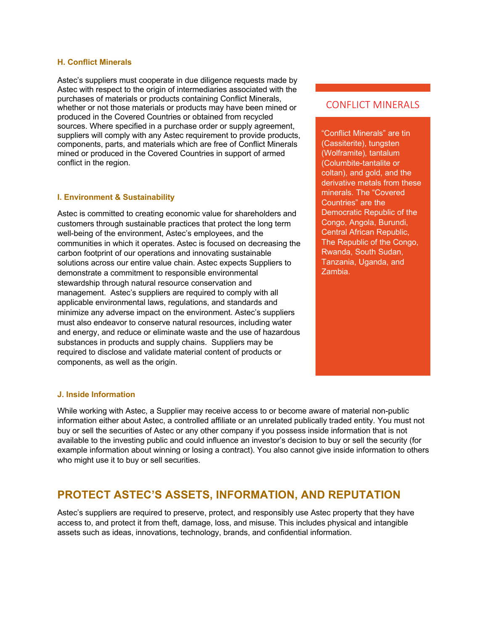#### **H. Conflict Minerals**

Astec's suppliers must cooperate in due diligence requests made by Astec with respect to the origin of intermediaries associated with the purchases of materials or products containing Conflict Minerals, whether or not those materials or products may have been mined or produced in the Covered Countries or obtained from recycled sources. Where specified in a purchase order or supply agreement, suppliers will comply with any Astec requirement to provide products, components, parts, and materials which are free of Conflict Minerals mined or produced in the Covered Countries in support of armed conflict in the region.

#### **I. Environment & Sustainability**

Astec is committed to creating economic value for shareholders and customers through sustainable practices that protect the long term well-being of the environment, Astec's employees, and the communities in which it operates. Astec is focused on decreasing the carbon footprint of our operations and innovating sustainable solutions across our entire value chain. Astec expects Suppliers to demonstrate a commitment to responsible environmental stewardship through natural resource conservation and management. Astec's suppliers are required to comply with all applicable environmental laws, regulations, and standards and minimize any adverse impact on the environment. Astec's suppliers must also endeavor to conserve natural resources, including water and energy, and reduce or eliminate waste and the use of hazardous substances in products and supply chains. Suppliers may be required to disclose and validate material content of products or components, as well as the origin.

#### CONFLICT MINERALS

"Conflict Minerals" are tin (Cassiterite), tungsten (Wolframite), tantalum (Columbite-tantalite or coltan), and gold, and the derivative metals from these minerals. The "Covered Countries" are the Democratic Republic of the Congo, Angola, Burundi, Central African Republic, The Republic of the Congo, Rwanda, South Sudan, Tanzania, Uganda, and Zambia.

#### **J. Inside Information**

While working with Astec, a Supplier may receive access to or become aware of material non-public information either about Astec, a controlled affiliate or an unrelated publically traded entity. You must not buy or sell the securities of Astec or any other company if you possess inside information that is not available to the investing public and could influence an investor's decision to buy or sell the security (for example information about winning or losing a contract). You also cannot give inside information to others who might use it to buy or sell securities.

## **PROTECT ASTEC'S ASSETS, INFORMATION, AND REPUTATION**

Astec's suppliers are required to preserve, protect, and responsibly use Astec property that they have access to, and protect it from theft, damage, loss, and misuse. This includes physical and intangible assets such as ideas, innovations, technology, brands, and confidential information.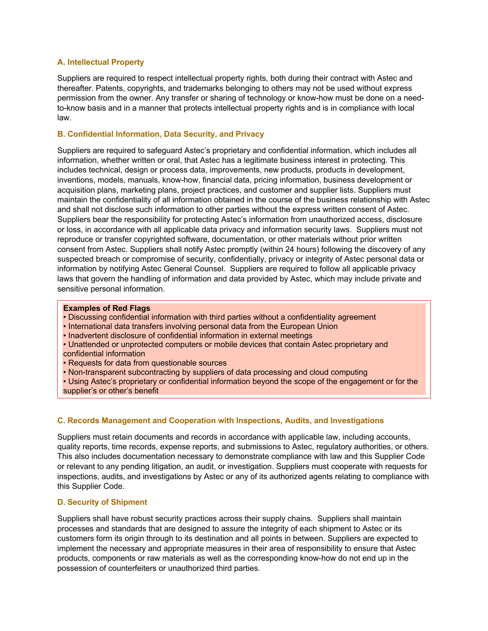#### **A. Intellectual Property**

Suppliers are required to respect intellectual property rights, both during their contract with Astec and thereafter. Patents, copyrights, and trademarks belonging to others may not be used without express permission from the owner. Any transfer or sharing of technology or know-how must be done on a needto-know basis and in a manner that protects intellectual property rights and is in compliance with local law.

#### **B. Confidential Information, Data Security, and Privacy**

Suppliers are required to safeguard Astec's proprietary and confidential information, which includes all information, whether written or oral, that Astec has a legitimate business interest in protecting. This includes technical, design or process data, improvements, new products, products in development, inventions, models, manuals, know-how, financial data, pricing information, business development or acquisition plans, marketing plans, project practices, and customer and supplier lists. Suppliers must maintain the confidentiality of all information obtained in the course of the business relationship with Astec and shall not disclose such information to other parties without the express written consent of Astec. Suppliers bear the responsibility for protecting Astec's information from unauthorized access, disclosure or loss, in accordance with all applicable data privacy and information security laws. Suppliers must not reproduce or transfer copyrighted software, documentation, or other materials without prior written consent from Astec. Suppliers shall notify Astec promptly (within 24 hours) following the discovery of any suspected breach or compromise of security, confidentially, privacy or integrity of Astec personal data or information by notifying Astec General Counsel. Suppliers are required to follow all applicable privacy laws that govern the handling of information and data provided by Astec, which may include private and sensitive personal information.

#### **Examples of Red Flags**

- Discussing confidential information with third parties without a confidentiality agreement
- International data transfers involving personal data from the European Union
- Inadvertent disclosure of confidential information in external meetings
- Unattended or unprotected computers or mobile devices that contain Astec proprietary and confidential information
- Requests for data from questionable sources
- Non-transparent subcontracting by suppliers of data processing and cloud computing

• Using Astec's proprietary or confidential information beyond the scope of the engagement or for the supplier's or other's benefit

#### **C. Records Management and Cooperation with Inspections, Audits, and Investigations**

Suppliers must retain documents and records in accordance with applicable law, including accounts, quality reports, time records, expense reports, and submissions to Astec, regulatory authorities, or others. This also includes documentation necessary to demonstrate compliance with law and this Supplier Code or relevant to any pending litigation, an audit, or investigation. Suppliers must cooperate with requests for inspections, audits, and investigations by Astec or any of its authorized agents relating to compliance with this Supplier Code.

#### **D. Security of Shipment**

Suppliers shall have robust security practices across their supply chains. Suppliers shall maintain processes and standards that are designed to assure the integrity of each shipment to Astec or its customers form its origin through to its destination and all points in between. Suppliers are expected to implement the necessary and appropriate measures in their area of responsibility to ensure that Astec products, components or raw materials as well as the corresponding know-how do not end up in the possession of counterfeiters or unauthorized third parties.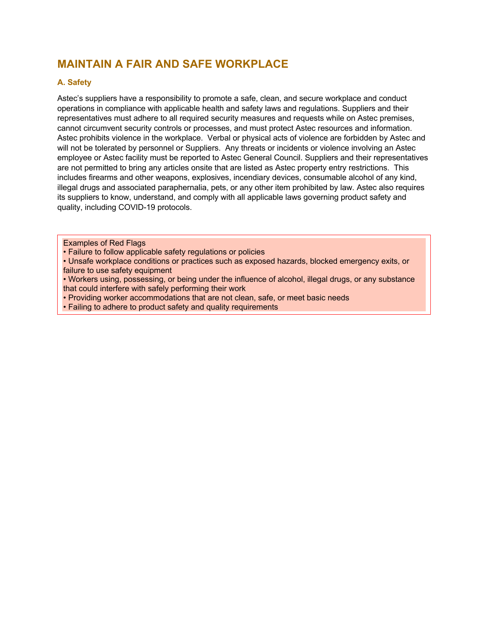## **MAINTAIN A FAIR AND SAFE WORKPLACE**

#### **A. Safety**

Astec's suppliers have a responsibility to promote a safe, clean, and secure workplace and conduct operations in compliance with applicable health and safety laws and regulations. Suppliers and their representatives must adhere to all required security measures and requests while on Astec premises, cannot circumvent security controls or processes, and must protect Astec resources and information. Astec prohibits violence in the workplace. Verbal or physical acts of violence are forbidden by Astec and will not be tolerated by personnel or Suppliers. Any threats or incidents or violence involving an Astec employee or Astec facility must be reported to Astec General Council. Suppliers and their representatives are not permitted to bring any articles onsite that are listed as Astec property entry restrictions. This includes firearms and other weapons, explosives, incendiary devices, consumable alcohol of any kind, illegal drugs and associated paraphernalia, pets, or any other item prohibited by law. Astec also requires its suppliers to know, understand, and comply with all applicable laws governing product safety and quality, including COVID-19 protocols.

Examples of Red Flags

• Failure to follow applicable safety regulations or policies

• Unsafe workplace conditions or practices such as exposed hazards, blocked emergency exits, or failure to use safety equipment

• Workers using, possessing, or being under the influence of alcohol, illegal drugs, or any substance that could interfere with safely performing their work

• Providing worker accommodations that are not clean, safe, or meet basic needs

• Failing to adhere to product safety and quality requirements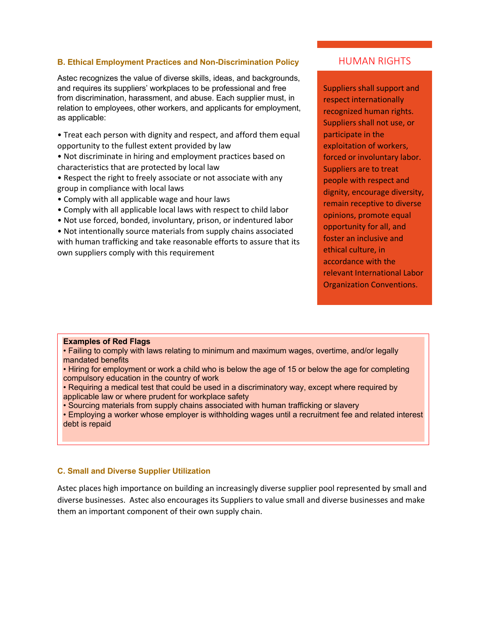#### **B. Ethical Employment Practices and Non-Discrimination Policy**

Astec recognizes the value of diverse skills, ideas, and backgrounds, and requires its suppliers' workplaces to be professional and free from discrimination, harassment, and abuse. Each supplier must, in relation to employees, other workers, and applicants for employment, as applicable:

• Treat each person with dignity and respect, and afford them equal opportunity to the fullest extent provided by law

• Not discriminate in hiring and employment practices based on characteristics that are protected by local law

- Respect the right to freely associate or not associate with any group in compliance with local laws
- Comply with all applicable wage and hour laws
- Comply with all applicable local laws with respect to child labor
- Not use forced, bonded, involuntary, prison, or indentured labor

• Not intentionally source materials from supply chains associated with human trafficking and take reasonable efforts to assure that its own suppliers comply with this requirement

#### HUMAN RIGHTS

Suppliers shall support and respect internationally recognized human rights. Suppliers shall not use, or participate in the exploitation of workers, forced or involuntary labor. Suppliers are to treat people with respect and dignity, encourage diversity, remain receptive to diverse opinions, promote equal opportunity for all, and foster an inclusive and ethical culture, in accordance with the relevant International Labor Organization Conventions.

#### **Examples of Red Flags**

• Failing to comply with laws relating to minimum and maximum wages, overtime, and/or legally mandated benefits

- Hiring for employment or work a child who is below the age of 15 or below the age for completing compulsory education in the country of work
- Requiring a medical test that could be used in a discriminatory way, except where required by applicable law or where prudent for workplace safety
- Sourcing materials from supply chains associated with human trafficking or slavery

• Employing a worker whose employer is withholding wages until a recruitment fee and related interest debt is repaid

#### **C. Small and Diverse Supplier Utilization**

Astec places high importance on building an increasingly diverse supplier pool represented by small and diverse businesses. Astec also encourages its Suppliers to value small and diverse businesses and make them an important component of their own supply chain.